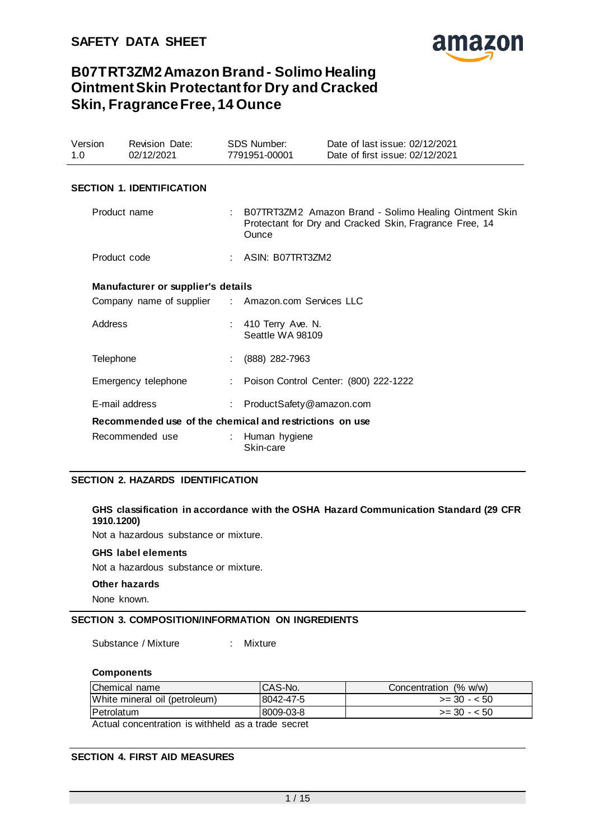

| Version<br>1.0 | <b>Revision Date:</b><br>02/12/2021                     | SDS Number:<br>7791951-00001            | Date of last issue: 02/12/2021<br>Date of first issue: 02/12/2021                                                   |
|----------------|---------------------------------------------------------|-----------------------------------------|---------------------------------------------------------------------------------------------------------------------|
|                | <b>SECTION 1. IDENTIFICATION</b>                        |                                         |                                                                                                                     |
| Product name   |                                                         | Ounce                                   | : B07TRT3ZM2 Amazon Brand - Solimo Healing Ointment Skin<br>Protectant for Dry and Cracked Skin, Fragrance Free, 14 |
| Product code   |                                                         | : $ASIN: BO7TRT3ZM2$                    |                                                                                                                     |
|                | Manufacturer or supplier's details                      |                                         |                                                                                                                     |
|                | Company name of supplier : Amazon.com Services LLC      |                                         |                                                                                                                     |
| Address        |                                                         | : 410 Terry Ave. N.<br>Seattle WA 98109 |                                                                                                                     |
| Telephone      |                                                         | $(888)$ 282-7963                        |                                                                                                                     |
|                | Emergency telephone                                     |                                         | : Poison Control Center: (800) 222-1222                                                                             |
|                | E-mail address                                          | : ProductSafety@amazon.com              |                                                                                                                     |
|                | Recommended use of the chemical and restrictions on use |                                         |                                                                                                                     |
|                | Recommended use                                         | : Human hygiene<br>Skin-care            |                                                                                                                     |

### **SECTION 2. HAZARDS IDENTIFICATION**

### **GHS classification in accordance with the OSHA Hazard Communication Standard (29 CFR 1910.1200)**

Not a hazardous substance or mixture.

#### **GHS label elements**

Not a hazardous substance or mixture.

#### **Other hazards**

None known.

### **SECTION 3. COMPOSITION/INFORMATION ON INGREDIENTS**

Substance / Mixture : Mixture

### **Components**

| 18042-47-5 | $>=$ 30 - $<$ 50 |
|------------|------------------|
| 18009-03-8 | $>=$ 30 - $<$ 50 |
|            |                  |

Actual concentration is withheld as a trade secret

### **SECTION 4. FIRST AID MEASURES**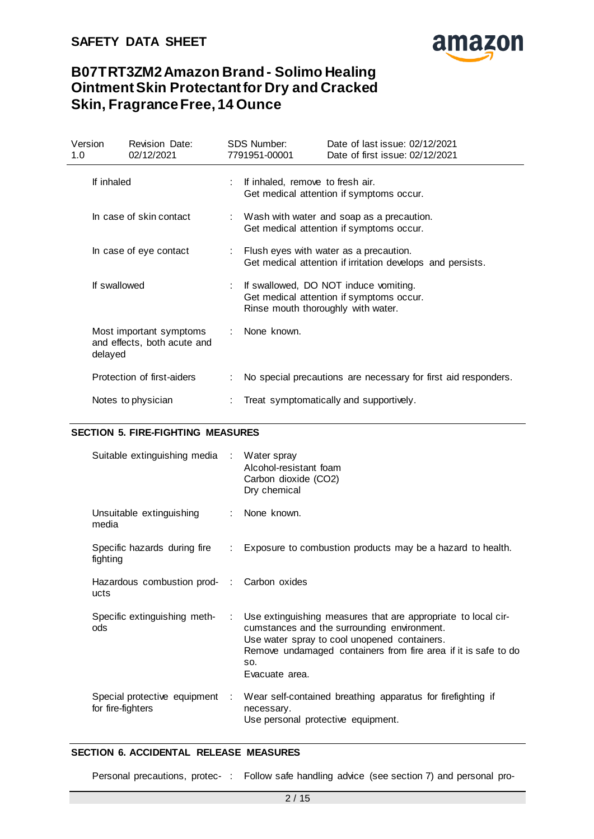

| Version<br>1.0          | <b>Revision Date:</b><br>02/12/2021                    | SDS Number:<br>7791951-00001                                                            | Date of last issue: 02/12/2021<br>Date of first issue: 02/12/2021                                                       |  |
|-------------------------|--------------------------------------------------------|-----------------------------------------------------------------------------------------|-------------------------------------------------------------------------------------------------------------------------|--|
| If inhaled              |                                                        | If inhaled, remove to fresh air.                                                        | Get medical attention if symptoms occur.                                                                                |  |
| In case of skin contact |                                                        | : Wash with water and soap as a precaution.<br>Get medical attention if symptoms occur. |                                                                                                                         |  |
|                         | In case of eye contact                                 |                                                                                         | Flush eyes with water as a precaution.<br>Get medical attention if irritation develops and persists.                    |  |
|                         | If swallowed                                           |                                                                                         | If swallowed, DO NOT induce vomiting.<br>Get medical attention if symptoms occur.<br>Rinse mouth thoroughly with water. |  |
| delayed                 | Most important symptoms<br>and effects, both acute and | None known.                                                                             |                                                                                                                         |  |
|                         | Protection of first-aiders                             |                                                                                         | No special precautions are necessary for first aid responders.                                                          |  |
|                         | Notes to physician                                     |                                                                                         | Treat symptomatically and supportively.                                                                                 |  |

# **SECTION 5. FIRE-FIGHTING MEASURES**

| Suitable extinguishing media :                     |                             | Water spray<br>Alcohol-resistant foam<br>Carbon dioxide (CO2)<br>Dry chemical                                                                                                                                                                           |
|----------------------------------------------------|-----------------------------|---------------------------------------------------------------------------------------------------------------------------------------------------------------------------------------------------------------------------------------------------------|
| Unsuitable extinguishing<br>media                  |                             | None known.                                                                                                                                                                                                                                             |
| Specific hazards during fire<br>fighting           | $\mathbb{Z}^{\mathbb{Z}}$ . | Exposure to combustion products may be a hazard to health.                                                                                                                                                                                              |
| Hazardous combustion prod- : Carbon oxides<br>ucts |                             |                                                                                                                                                                                                                                                         |
| Specific extinguishing meth-<br>ods                | ÷.                          | Use extinguishing measures that are appropriate to local cir-<br>cumstances and the surrounding environment.<br>Use water spray to cool unopened containers.<br>Remove undamaged containers from fire area if it is safe to do<br>SO.<br>Evacuate area. |
| Special protective equipment<br>for fire-fighters  | ÷.                          | Wear self-contained breathing apparatus for firefighting if<br>necessary.<br>Use personal protective equipment.                                                                                                                                         |

#### **SECTION 6. ACCIDENTAL RELEASE MEASURES**

Personal precautions, protec- : Follow safe handling advice (see section 7) and personal pro-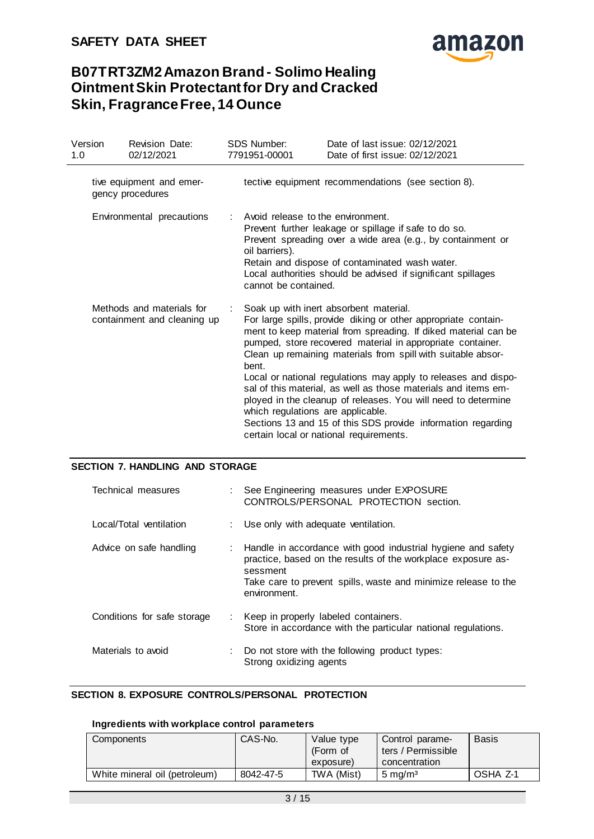

| Version<br>1.0 |                                                          | <b>Revision Date:</b><br>02/12/2021          | <b>SDS Number:</b><br>7791951-00001                                         | Date of last issue: 02/12/2021<br>Date of first issue: 02/12/2021                                                                                                                                                                                                                                                                                                                                                                                                                                                                                                                                                        |
|----------------|----------------------------------------------------------|----------------------------------------------|-----------------------------------------------------------------------------|--------------------------------------------------------------------------------------------------------------------------------------------------------------------------------------------------------------------------------------------------------------------------------------------------------------------------------------------------------------------------------------------------------------------------------------------------------------------------------------------------------------------------------------------------------------------------------------------------------------------------|
|                |                                                          | tive equipment and emer-<br>gency procedures |                                                                             | tective equipment recommendations (see section 8).                                                                                                                                                                                                                                                                                                                                                                                                                                                                                                                                                                       |
|                |                                                          | Environmental precautions                    | Avoid release to the environment.<br>oil barriers).<br>cannot be contained. | Prevent further leakage or spillage if safe to do so.<br>Prevent spreading over a wide area (e.g., by containment or<br>Retain and dispose of contaminated wash water.<br>Local authorities should be advised if significant spillages                                                                                                                                                                                                                                                                                                                                                                                   |
|                | Methods and materials for<br>containment and cleaning up |                                              | bent.<br>which regulations are applicable.                                  | Soak up with inert absorbent material.<br>For large spills, provide diking or other appropriate contain-<br>ment to keep material from spreading. If diked material can be<br>pumped, store recovered material in appropriate container.<br>Clean up remaining materials from spill with suitable absor-<br>Local or national regulations may apply to releases and dispo-<br>sal of this material, as well as those materials and items em-<br>ployed in the cleanup of releases. You will need to determine<br>Sections 13 and 15 of this SDS provide information regarding<br>certain local or national requirements. |

### **SECTION 7. HANDLING AND STORAGE**

| Technical measures          | : See Engineering measures under EXPOSURE<br>CONTROLS/PERSONAL PROTECTION section.                                                                                                                                           |
|-----------------------------|------------------------------------------------------------------------------------------------------------------------------------------------------------------------------------------------------------------------------|
| Local/Total ventilation     | : Use only with adequate ventilation.                                                                                                                                                                                        |
| Advice on safe handling     | : Handle in accordance with good industrial hygiene and safety<br>practice, based on the results of the workplace exposure as-<br>sessment<br>Take care to prevent spills, waste and minimize release to the<br>environment. |
| Conditions for safe storage | : Keep in properly labeled containers.<br>Store in accordance with the particular national regulations.                                                                                                                      |
| Materials to avoid          | : Do not store with the following product types:<br>Strong oxidizing agents                                                                                                                                                  |

### **SECTION 8. EXPOSURE CONTROLS/PERSONAL PROTECTION**

### **Ingredients with workplace control parameters**

| Components                    | CAS-No.   | Value type<br>(Form of<br>exposure) | Control parame-<br>ters / Permissible<br>concentration | <b>Basis</b> |
|-------------------------------|-----------|-------------------------------------|--------------------------------------------------------|--------------|
| White mineral oil (petroleum) | 8042-47-5 | TWA (Mist)                          | $5 \text{ mg/m}^3$                                     | OSHA Z-1     |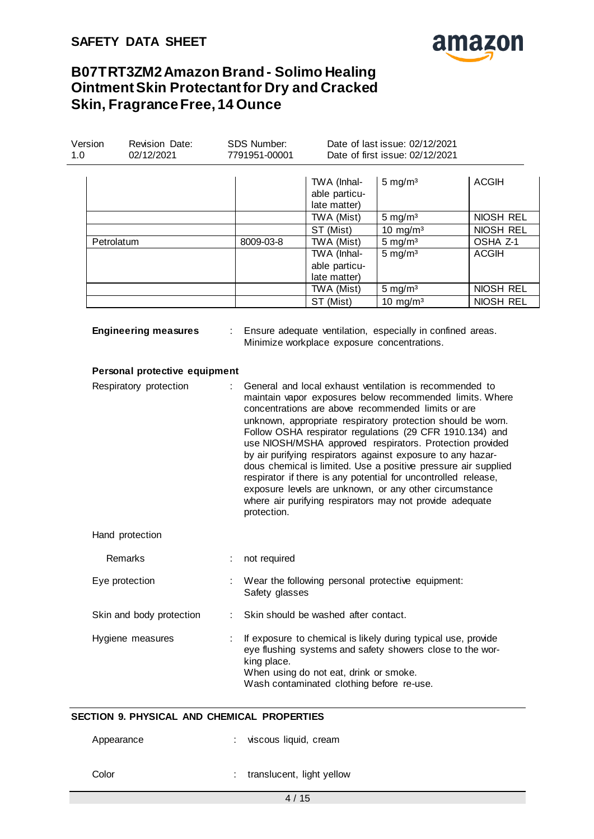# **SAFETY DATA SHEET**



# **B07TRT3ZM2 Amazon Brand - Solimo Healing Ointment Skin Protectant for Dry and Cracked Skin, Fragrance Free, 14 Ounce**

| Version<br>1.0 | Revision Date:<br>02/12/2021                            | SDS Number:<br>7791951-00001 |                | Date of last issue: 02/12/2021<br>Date of first issue: 02/12/2021                   |                                                                                                                                                                                                                                                                                                                                                                                                                                                                                                                                                                                                                                                                                                                                          |              |  |
|----------------|---------------------------------------------------------|------------------------------|----------------|-------------------------------------------------------------------------------------|------------------------------------------------------------------------------------------------------------------------------------------------------------------------------------------------------------------------------------------------------------------------------------------------------------------------------------------------------------------------------------------------------------------------------------------------------------------------------------------------------------------------------------------------------------------------------------------------------------------------------------------------------------------------------------------------------------------------------------------|--------------|--|
|                |                                                         |                              |                | TWA (Inhal-<br>able particu-<br>late matter)                                        | $5 \text{ mg/m}^3$                                                                                                                                                                                                                                                                                                                                                                                                                                                                                                                                                                                                                                                                                                                       | <b>ACGIH</b> |  |
|                |                                                         |                              |                | TWA (Mist)                                                                          | $5 \text{ mg/m}^3$                                                                                                                                                                                                                                                                                                                                                                                                                                                                                                                                                                                                                                                                                                                       | NIOSH REL    |  |
|                |                                                         |                              |                | ST (Mist)                                                                           | 10 mg/m $3$                                                                                                                                                                                                                                                                                                                                                                                                                                                                                                                                                                                                                                                                                                                              | NIOSH REL    |  |
|                | Petrolatum                                              |                              | 8009-03-8      | TWA (Mist)                                                                          | $5 \text{ mg/m}^3$                                                                                                                                                                                                                                                                                                                                                                                                                                                                                                                                                                                                                                                                                                                       | OSHA Z-1     |  |
|                |                                                         |                              |                | TWA (Inhal-<br>able particu-<br>late matter)                                        | $5 \text{ mg/m}^3$                                                                                                                                                                                                                                                                                                                                                                                                                                                                                                                                                                                                                                                                                                                       | <b>ACGIH</b> |  |
|                |                                                         |                              |                | TWA (Mist)                                                                          | $5 \text{ mg/m}^3$                                                                                                                                                                                                                                                                                                                                                                                                                                                                                                                                                                                                                                                                                                                       | NIOSH REL    |  |
|                |                                                         |                              |                | ST (Mist)                                                                           | 10 mg/m $3$                                                                                                                                                                                                                                                                                                                                                                                                                                                                                                                                                                                                                                                                                                                              | NIOSH REL    |  |
|                | Personal protective equipment<br>Respiratory protection |                              | protection.    |                                                                                     | Minimize workplace exposure concentrations.<br>General and local exhaust ventilation is recommended to<br>maintain vapor exposures below recommended limits. Where<br>concentrations are above recommended limits or are<br>unknown, appropriate respiratory protection should be worn.<br>Follow OSHA respirator regulations (29 CFR 1910.134) and<br>use NIOSH/MSHA approved respirators. Protection provided<br>by air purifying respirators against exposure to any hazar-<br>dous chemical is limited. Use a positive pressure air supplied<br>respirator if there is any potential for uncontrolled release,<br>exposure levels are unknown, or any other circumstance<br>where air purifying respirators may not provide adequate |              |  |
|                | Hand protection                                         |                              |                |                                                                                     |                                                                                                                                                                                                                                                                                                                                                                                                                                                                                                                                                                                                                                                                                                                                          |              |  |
|                | Remarks                                                 |                              | not required   |                                                                                     |                                                                                                                                                                                                                                                                                                                                                                                                                                                                                                                                                                                                                                                                                                                                          |              |  |
|                | Eye protection                                          |                              | Safety glasses |                                                                                     | Wear the following personal protective equipment:                                                                                                                                                                                                                                                                                                                                                                                                                                                                                                                                                                                                                                                                                        |              |  |
|                | Skin and body protection                                |                              |                | Skin should be washed after contact.                                                |                                                                                                                                                                                                                                                                                                                                                                                                                                                                                                                                                                                                                                                                                                                                          |              |  |
|                | Hygiene measures                                        |                              | king place.    | When using do not eat, drink or smoke.<br>Wash contaminated clothing before re-use. | If exposure to chemical is likely during typical use, provide<br>eye flushing systems and safety showers close to the wor-                                                                                                                                                                                                                                                                                                                                                                                                                                                                                                                                                                                                               |              |  |

# **SECTION 9. PHYSICAL AND CHEMICAL PROPERTIES**

| Appearance | : viscous liquid, cream     |
|------------|-----------------------------|
| Color      | : translucent, light yellow |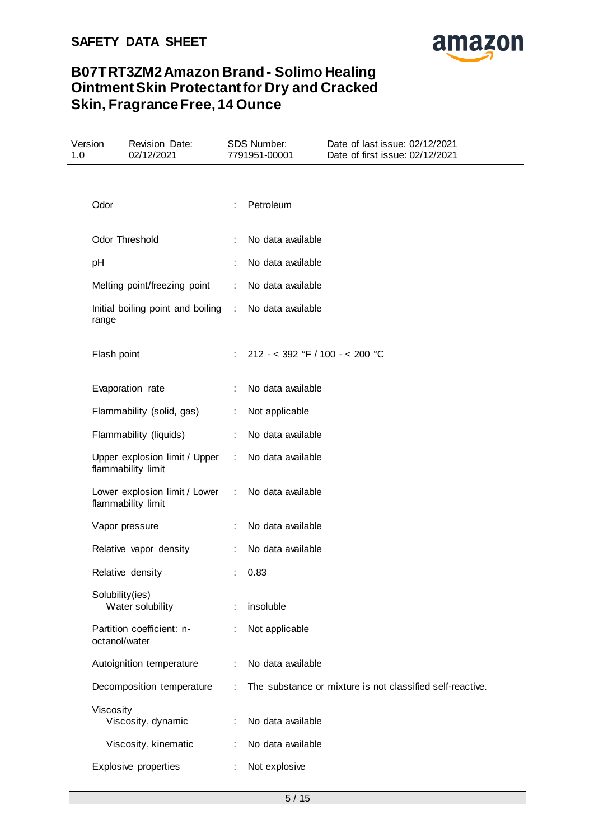

| Version<br>1.0 | Revision Date:<br>02/12/2021                                   |                             | SDS Number:<br>7791951-00001    | Date of last issue: 02/12/2021<br>Date of first issue: 02/12/2021 |
|----------------|----------------------------------------------------------------|-----------------------------|---------------------------------|-------------------------------------------------------------------|
|                |                                                                |                             |                                 |                                                                   |
| Odor           |                                                                | ÷                           | Petroleum                       |                                                                   |
|                | Odor Threshold                                                 | ÷                           | No data available               |                                                                   |
| pH             |                                                                |                             | No data available               |                                                                   |
|                | Melting point/freezing point                                   | ÷                           | No data available               |                                                                   |
|                | Initial boiling point and boiling : No data available<br>range |                             |                                 |                                                                   |
|                | Flash point                                                    | ÷                           | 212 - < 392 °F / 100 - < 200 °C |                                                                   |
|                | Evaporation rate                                               |                             | No data available               |                                                                   |
|                | Flammability (solid, gas)                                      | ÷                           | Not applicable                  |                                                                   |
|                | Flammability (liquids)                                         | ÷                           | No data available               |                                                                   |
|                | Upper explosion limit / Upper<br>flammability limit            | $\mathcal{L}^{\mathcal{L}}$ | No data available               |                                                                   |
|                | Lower explosion limit / Lower :<br>flammability limit          |                             | No data available               |                                                                   |
|                | Vapor pressure                                                 |                             | No data available               |                                                                   |
|                | Relative vapor density                                         | ÷                           | No data available               |                                                                   |
|                | Relative density                                               |                             | 0.83                            |                                                                   |
|                | Solubility(ies)<br>Water solubility                            |                             | insoluble                       |                                                                   |
|                | Partition coefficient: n-<br>octanol/water                     |                             | Not applicable                  |                                                                   |
|                | Autoignition temperature                                       | ÷                           | No data available               |                                                                   |
|                | Decomposition temperature                                      |                             |                                 | The substance or mixture is not classified self-reactive.         |
|                | Viscosity<br>Viscosity, dynamic                                |                             | No data available               |                                                                   |
|                | Viscosity, kinematic                                           | ÷                           | No data available               |                                                                   |
|                | Explosive properties                                           | t                           | Not explosive                   |                                                                   |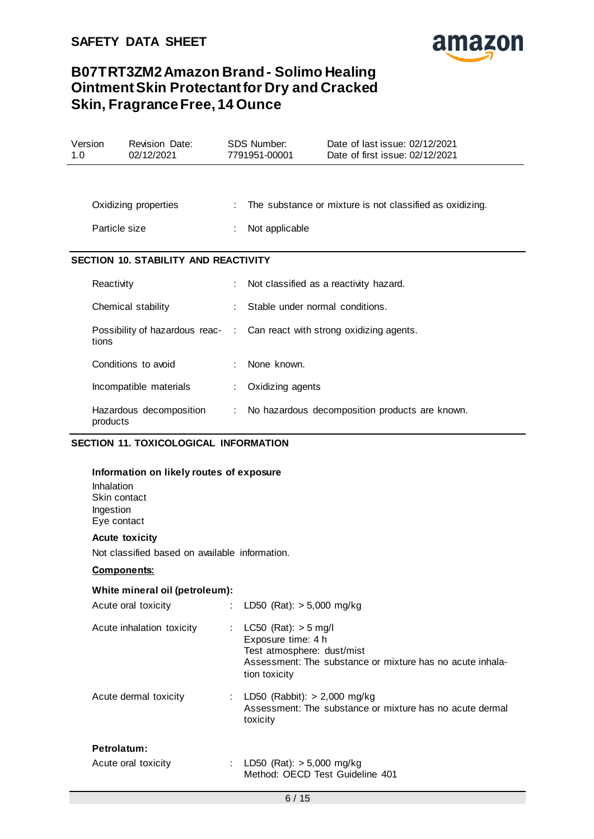

| Version<br>1.0 |               | Revision Date:<br>02/12/2021                                             | <b>SDS Number:</b><br>7791951-00001 | Date of last issue: 02/12/2021<br>Date of first issue: 02/12/2021 |
|----------------|---------------|--------------------------------------------------------------------------|-------------------------------------|-------------------------------------------------------------------|
|                |               |                                                                          |                                     |                                                                   |
|                |               | Oxidizing properties                                                     |                                     | The substance or mixture is not classified as oxidizing.          |
|                | Particle size |                                                                          | Not applicable                      |                                                                   |
|                |               | <b>SECTION 10. STABILITY AND REACTIVITY</b>                              |                                     |                                                                   |
|                | Reactivity    |                                                                          |                                     | Not classified as a reactivity hazard.                            |
|                |               | Chemical stability                                                       | Stable under normal conditions.     |                                                                   |
|                | tions         | Possibility of hazardous reac- : Can react with strong oxidizing agents. |                                     |                                                                   |
|                |               | Conditions to avoid                                                      | None known.                         |                                                                   |
|                |               | Incompatible materials                                                   | Oxidizing agents                    |                                                                   |
|                | products      | Hazardous decomposition                                                  |                                     | No hazardous decomposition products are known.                    |

# **SECTION 11. TOXICOLOGICAL INFORMATION**

#### **Information on likely routes of exposure**

Inhalation Skin contact Ingestion Eye contact

#### **Acute toxicity**

Not classified based on available information.

#### **Components:**

#### **White mineral oil (petroleum):**

| Acute oral toxicity       | : LD50 (Rat): $> 5,000$ mg/kg                                                                                                                            |
|---------------------------|----------------------------------------------------------------------------------------------------------------------------------------------------------|
| Acute inhalation toxicity | LC50 (Rat): $>$ 5 mg/l<br>Exposure time: 4 h<br>Test atmosphere: dust/mist<br>Assessment: The substance or mixture has no acute inhala-<br>tion toxicity |
| Acute dermal toxicity     | : LD50 (Rabbit): $> 2,000$ mg/kg<br>Assessment: The substance or mixture has no acute dermal<br>toxicity                                                 |
| Petrolatum:               |                                                                                                                                                          |
| Acute oral toxicity       | LD50 (Rat): $> 5,000$ mg/kg<br>Method: OECD Test Guideline 401                                                                                           |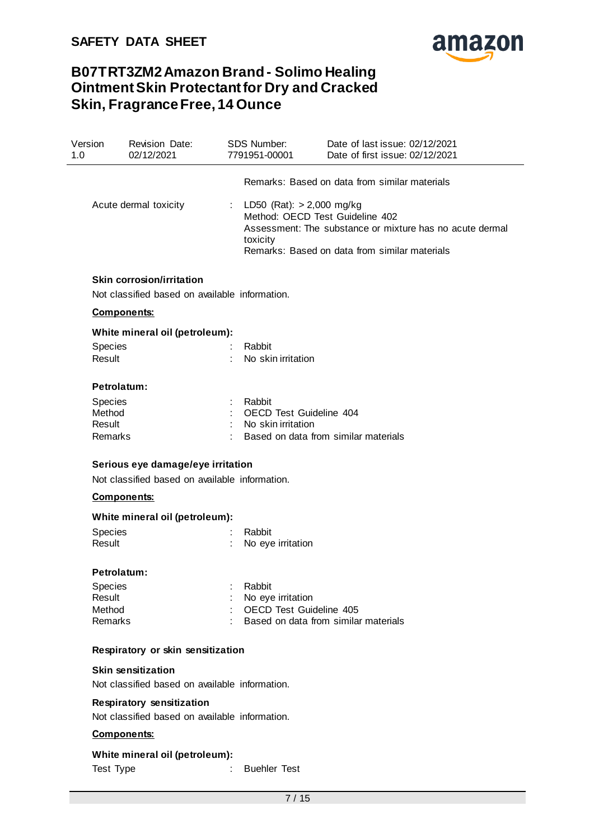

| Version<br>1.0 | Revision Date:<br>02/12/2021                   | SDS Number:<br>7791951-00001              | Date of last issue: 02/12/2021<br>Date of first issue: 02/12/2021                                                                            |
|----------------|------------------------------------------------|-------------------------------------------|----------------------------------------------------------------------------------------------------------------------------------------------|
|                |                                                |                                           | Remarks: Based on data from similar materials                                                                                                |
|                | Acute dermal toxicity                          | : LD50 (Rat): $> 2,000$ mg/kg<br>toxicity | Method: OECD Test Guideline 402<br>Assessment: The substance or mixture has no acute dermal<br>Remarks: Based on data from similar materials |
|                | Skin corrosion/irritation                      |                                           |                                                                                                                                              |
|                | Not classified based on available information. |                                           |                                                                                                                                              |
|                | <b>Components:</b>                             |                                           |                                                                                                                                              |
|                | White mineral oil (petroleum):                 |                                           |                                                                                                                                              |
| Species        |                                                | Rabbit                                    |                                                                                                                                              |
| Result         |                                                | No skin irritation                        |                                                                                                                                              |
|                | Petrolatum:                                    |                                           |                                                                                                                                              |
| <b>Species</b> |                                                | Rabbit                                    |                                                                                                                                              |
| Method         |                                                | <b>OECD Test Guideline 404</b>            |                                                                                                                                              |
| Result         |                                                | No skin irritation                        |                                                                                                                                              |
| Remarks        |                                                |                                           | Based on data from similar materials                                                                                                         |
|                | Serious eye damage/eye irritation              |                                           |                                                                                                                                              |
|                | Not classified based on available information. |                                           |                                                                                                                                              |
|                | <b>Components:</b>                             |                                           |                                                                                                                                              |
|                | White mineral oil (petroleum):                 |                                           |                                                                                                                                              |
| Species        |                                                | Rabbit                                    |                                                                                                                                              |
| Result         |                                                | No eye irritation                         |                                                                                                                                              |
|                | Petrolatum:                                    |                                           |                                                                                                                                              |
| Species        |                                                | Rabbit                                    |                                                                                                                                              |
| Result         |                                                | No eye irritation                         |                                                                                                                                              |
| Method         |                                                | <b>OECD Test Guideline 405</b>            |                                                                                                                                              |
| Remarks        |                                                |                                           | Based on data from similar materials                                                                                                         |
|                | Respiratory or skin sensitization              |                                           |                                                                                                                                              |
|                | <b>Skin sensitization</b>                      |                                           |                                                                                                                                              |
|                | Not classified based on available information. |                                           |                                                                                                                                              |
|                | <b>Respiratory sensitization</b>               |                                           |                                                                                                                                              |
|                | Not classified based on available information. |                                           |                                                                                                                                              |
|                | <b>Components:</b>                             |                                           |                                                                                                                                              |

# **White mineral oil (petroleum):**

Test Type  $\qquad \qquad : \qquad$  Buehler Test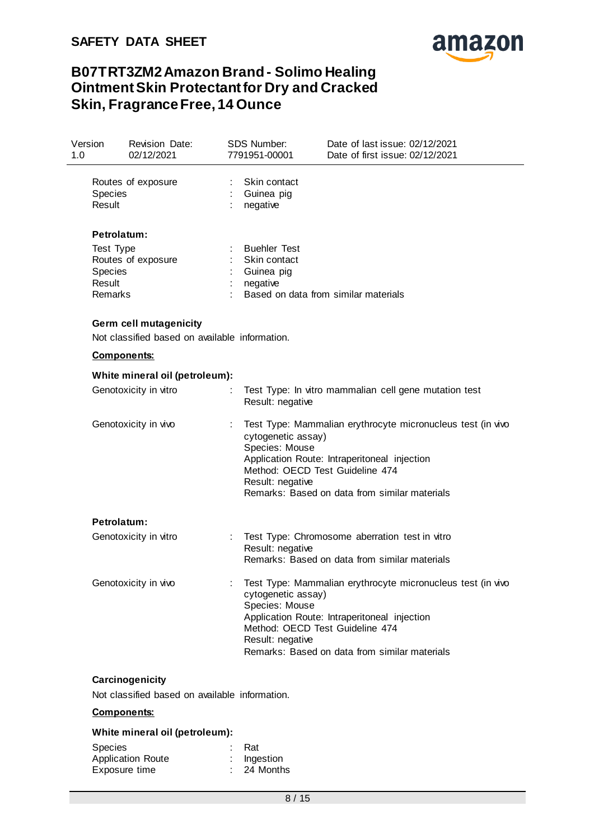

| Version<br>1.0    | Revision Date:<br>02/12/2021                   | SDS Number:<br>7791951-00001                                   | Date of last issue: 02/12/2021<br>Date of first issue: 02/12/2021                                                                                                                               |
|-------------------|------------------------------------------------|----------------------------------------------------------------|-------------------------------------------------------------------------------------------------------------------------------------------------------------------------------------------------|
| Species<br>Result | Routes of exposure                             | Skin contact<br>Guinea pig<br>negative                         |                                                                                                                                                                                                 |
|                   | Petrolatum:                                    |                                                                |                                                                                                                                                                                                 |
| Test Type         |                                                | <b>Buehler Test</b>                                            |                                                                                                                                                                                                 |
|                   | Routes of exposure                             | Skin contact                                                   |                                                                                                                                                                                                 |
| Species           |                                                | Guinea pig                                                     |                                                                                                                                                                                                 |
| Result<br>Remarks |                                                | negative                                                       | Based on data from similar materials                                                                                                                                                            |
|                   | Germ cell mutagenicity                         |                                                                |                                                                                                                                                                                                 |
|                   | Not classified based on available information. |                                                                |                                                                                                                                                                                                 |
|                   | <b>Components:</b>                             |                                                                |                                                                                                                                                                                                 |
|                   | White mineral oil (petroleum):                 |                                                                |                                                                                                                                                                                                 |
|                   | Genotoxicity in vitro                          | ÷<br>Result: negative                                          | Test Type: In vitro mammalian cell gene mutation test                                                                                                                                           |
|                   | Genotoxicity in vivo                           | ÷.<br>cytogenetic assay)<br>Species: Mouse<br>Result: negative | Test Type: Mammalian erythrocyte micronucleus test (in vivo<br>Application Route: Intraperitoneal injection<br>Method: OECD Test Guideline 474<br>Remarks: Based on data from similar materials |
|                   | Petrolatum:                                    |                                                                |                                                                                                                                                                                                 |
|                   | Genotoxicity in vitro                          | Result: negative                                               | Test Type: Chromosome aberration test in vitro<br>Remarks: Based on data from similar materials                                                                                                 |
|                   | Genotoxicity in vivo                           | cytogenetic assay)<br>Species: Mouse<br>Result: negative       | Test Type: Mammalian erythrocyte micronucleus test (in vivo<br>Application Route: Intraperitoneal injection<br>Method: OECD Test Guideline 474<br>Remarks: Based on data from similar materials |
|                   | Carcinogenicity                                |                                                                |                                                                                                                                                                                                 |

Not classified based on available information.

### **Components:**

### **White mineral oil (petroleum):**

| <b>Species</b>           | Rat           |
|--------------------------|---------------|
| <b>Application Route</b> | $:$ Ingestion |
| Exposure time            | $: 24$ Months |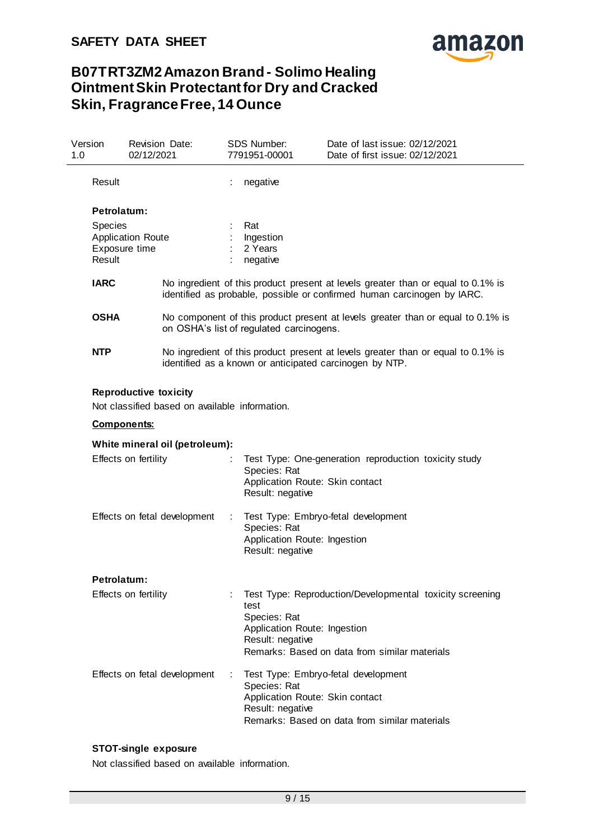

| Version<br>1.0     | Revision Date:<br>02/12/2021                                                   |   | <b>SDS Number:</b><br>7791951-00001                                      | Date of last issue: 02/12/2021<br>Date of first issue: 02/12/2021                                                                                           |
|--------------------|--------------------------------------------------------------------------------|---|--------------------------------------------------------------------------|-------------------------------------------------------------------------------------------------------------------------------------------------------------|
| Result             |                                                                                |   | negative                                                                 |                                                                                                                                                             |
| Petrolatum:        |                                                                                |   |                                                                          |                                                                                                                                                             |
| Result             | <b>Species</b><br><b>Application Route</b><br>Exposure time                    |   | Rat<br>Ingestion<br>2 Years<br>negative                                  |                                                                                                                                                             |
| <b>IARC</b>        |                                                                                |   |                                                                          | No ingredient of this product present at levels greater than or equal to 0.1% is<br>identified as probable, possible or confirmed human carcinogen by IARC. |
| <b>OSHA</b>        |                                                                                |   | on OSHA's list of regulated carcinogens.                                 | No component of this product present at levels greater than or equal to 0.1% is                                                                             |
| <b>NTP</b>         |                                                                                |   |                                                                          | No ingredient of this product present at levels greater than or equal to 0.1% is<br>identified as a known or anticipated carcinogen by NTP.                 |
|                    | <b>Reproductive toxicity</b><br>Not classified based on available information. |   |                                                                          |                                                                                                                                                             |
| <b>Components:</b> |                                                                                |   |                                                                          |                                                                                                                                                             |
|                    | White mineral oil (petroleum):                                                 |   |                                                                          |                                                                                                                                                             |
|                    | Effects on fertility                                                           |   | Species: Rat<br>Result: negative                                         | Test Type: One-generation reproduction toxicity study<br>Application Route: Skin contact                                                                    |
|                    | Effects on fetal development                                                   | ÷ | Species: Rat<br>Application Route: Ingestion<br>Result: negative         | Test Type: Embryo-fetal development                                                                                                                         |
| <b>Petrolatum:</b> |                                                                                |   |                                                                          |                                                                                                                                                             |
|                    | Effects on fertility                                                           |   | test<br>Species: Rat<br>Application Route: Ingestion<br>Result: negative | Test Type: Reproduction/Developmental toxicity screening<br>Remarks: Based on data from similar materials                                                   |
|                    | Effects on fetal development                                                   | ÷ | Species: Rat<br>Result: negative                                         | Test Type: Embryo-fetal development<br>Application Route: Skin contact<br>Remarks: Based on data from similar materials                                     |

# **STOT-single exposure**

Not classified based on available information.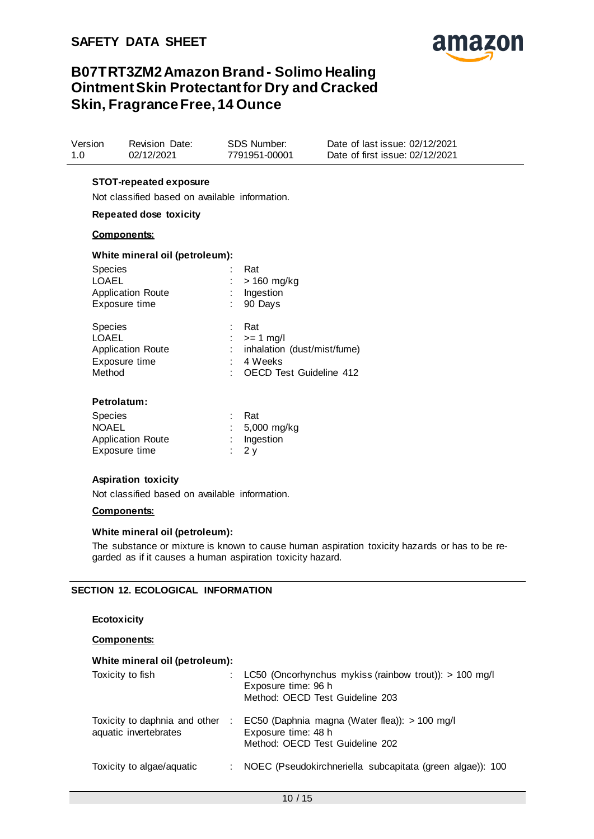

| Version | Revision Date: | SDS Number:   | Date of last issue: 02/12/2021  |
|---------|----------------|---------------|---------------------------------|
| 1.0     | 02/12/2021     | 7791951-00001 | Date of first issue: 02/12/2021 |

### **STOT-repeated exposure**

Not classified based on available information.

### **Repeated dose toxicity**

#### **Components:**

#### **White mineral oil (petroleum):**

| <b>Species</b><br><b>LOAEL</b><br><b>Application Route</b><br>Exposure time           | Rat<br>> 160 mg/kg<br>Ingestion<br>90 Days                                                     |
|---------------------------------------------------------------------------------------|------------------------------------------------------------------------------------------------|
| <b>Species</b><br><b>LOAEL</b><br><b>Application Route</b><br>Exposure time<br>Method | Rat<br>$>= 1$ mg/l<br>inhalation (dust/mist/fume)<br>4 Weeks<br><b>OECD Test Guideline 412</b> |
| Petrolatum:                                                                           |                                                                                                |

| <b>Species</b>           | <b>Rat</b>                |
|--------------------------|---------------------------|
| <b>NOAEL</b>             | : $5,000 \, \text{mg/kg}$ |
| <b>Application Route</b> | $:$ Ingestion             |
| Exposure time            | $\frac{1}{2}$ 2 v         |
|                          |                           |

#### **Aspiration toxicity**

Not classified based on available information.

#### **Components:**

#### **White mineral oil (petroleum):**

The substance or mixture is known to cause human aspiration toxicity hazards or has to be regarded as if it causes a human aspiration toxicity hazard.

#### **SECTION 12. ECOLOGICAL INFORMATION**

### **Ecotoxicity**

#### **Components:**

#### **White mineral oil (petroleum):**

| Toxicity to fish                                       |   | : LC50 (Oncorhynchus mykiss (rainbow trout)): > 100 mg/l<br>Exposure time: 96 h<br>Method: OECD Test Guideline 203 |
|--------------------------------------------------------|---|--------------------------------------------------------------------------------------------------------------------|
| Toxicity to daphnia and other<br>aquatic invertebrates | ÷ | EC50 (Daphnia magna (Water flea)): > 100 mg/l<br>Exposure time: 48 h<br>Method: OECD Test Guideline 202            |
| Toxicity to algae/aquatic                              |   | NOEC (Pseudokirchneriella subcapitata (green algae)): 100                                                          |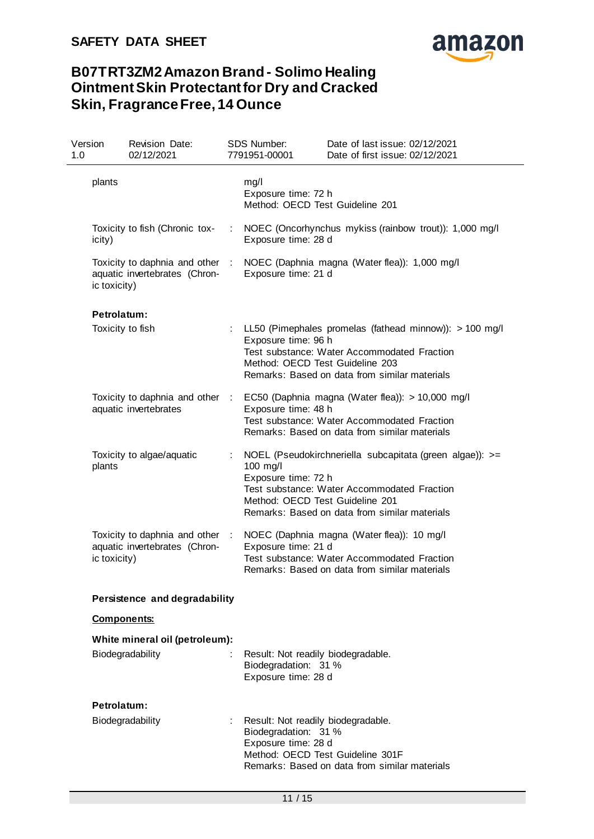

| Version<br>1.0 |                    | <b>Revision Date:</b><br>02/12/2021                              |      | SDS Number:<br>7791951-00001                                                                                          | Date of last issue: 02/12/2021<br>Date of first issue: 02/12/2021                                                                                         |
|----------------|--------------------|------------------------------------------------------------------|------|-----------------------------------------------------------------------------------------------------------------------|-----------------------------------------------------------------------------------------------------------------------------------------------------------|
|                | plants             |                                                                  |      | mg/l<br>Exposure time: 72 h<br>Method: OECD Test Guideline 201                                                        |                                                                                                                                                           |
|                | icity)             | Toxicity to fish (Chronic tox-                                   | ÷    | Exposure time: 28 d                                                                                                   | NOEC (Oncorhynchus mykiss (rainbow trout)): 1,000 mg/l                                                                                                    |
|                | ic toxicity)       | Toxicity to daphnia and other :<br>aquatic invertebrates (Chron- |      | Exposure time: 21 d                                                                                                   | NOEC (Daphnia magna (Water flea)): 1,000 mg/l                                                                                                             |
|                | <b>Petrolatum:</b> |                                                                  |      |                                                                                                                       |                                                                                                                                                           |
|                | Toxicity to fish   |                                                                  |      | Exposure time: 96 h<br>Method: OECD Test Guideline 203                                                                | : LL50 (Pimephales promelas (fathead minnow)): > 100 mg/l<br>Test substance: Water Accommodated Fraction<br>Remarks: Based on data from similar materials |
|                |                    | Toxicity to daphnia and other :<br>aquatic invertebrates         |      | Exposure time: 48 h                                                                                                   | EC50 (Daphnia magna (Water flea)): > 10,000 mg/l<br>Test substance: Water Accommodated Fraction<br>Remarks: Based on data from similar materials          |
|                | plants             | Toxicity to algae/aquatic                                        |      | 100 mg/l<br>Exposure time: 72 h<br>Method: OECD Test Guideline 201                                                    | NOEL (Pseudokirchneriella subcapitata (green algae)): >=<br>Test substance: Water Accommodated Fraction<br>Remarks: Based on data from similar materials  |
|                | ic toxicity)       | Toxicity to daphnia and other :<br>aquatic invertebrates (Chron- |      | Exposure time: 21 d                                                                                                   | NOEC (Daphnia magna (Water flea)): 10 mg/l<br>Test substance: Water Accommodated Fraction<br>Remarks: Based on data from similar materials                |
|                |                    | Persistence and degradability                                    |      |                                                                                                                       |                                                                                                                                                           |
|                | <b>Components:</b> |                                                                  |      |                                                                                                                       |                                                                                                                                                           |
|                |                    | White mineral oil (petroleum):                                   |      |                                                                                                                       |                                                                                                                                                           |
|                |                    | Biodegradability                                                 |      | Result: Not readily biodegradable.<br>Biodegradation: 31 %<br>Exposure time: 28 d                                     |                                                                                                                                                           |
|                | Petrolatum:        |                                                                  |      |                                                                                                                       |                                                                                                                                                           |
|                |                    | Biodegradability                                                 | t in | Result: Not readily biodegradable.<br>Biodegradation: 31 %<br>Exposure time: 28 d<br>Method: OECD Test Guideline 301F | Remarks: Based on data from similar materials                                                                                                             |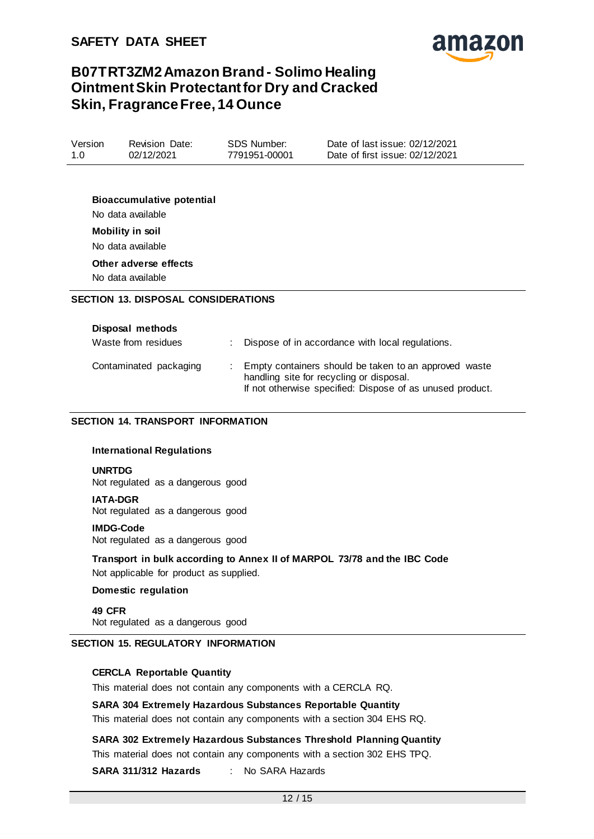

| Version<br>SDS Number:<br>Revision Date:<br>02/12/2021<br>7791951-00001<br>1.0 | Date of last issue: 02/12/2021<br>Date of first issue: 02/12/2021 |
|--------------------------------------------------------------------------------|-------------------------------------------------------------------|
|--------------------------------------------------------------------------------|-------------------------------------------------------------------|

**Bioaccumulative potential** No data available **Mobility in soil** No data available **Other adverse effects**

No data available

### **SECTION 13. DISPOSAL CONSIDERATIONS**

| Disposal methods       |                                                                                                                                                                |
|------------------------|----------------------------------------------------------------------------------------------------------------------------------------------------------------|
| Waste from residues    | : Dispose of in accordance with local regulations.                                                                                                             |
| Contaminated packaging | Empty containers should be taken to an approved waste<br>handling site for recycling or disposal.<br>If not otherwise specified: Dispose of as unused product. |

### **SECTION 14. TRANSPORT INFORMATION**

#### **International Regulations**

#### **UNRTDG**

Not regulated as a dangerous good

#### **IATA-DGR**

Not regulated as a dangerous good

#### **IMDG-Code**

Not regulated as a dangerous good

**Transport in bulk according to Annex II of MARPOL 73/78 and the IBC Code** Not applicable for product as supplied.

### **Domestic regulation**

**49 CFR** Not regulated as a dangerous good

#### **SECTION 15. REGULATORY INFORMATION**

#### **CERCLA Reportable Quantity**

This material does not contain any components with a CERCLA RQ.

#### **SARA 304 Extremely Hazardous Substances Reportable Quantity**

This material does not contain any components with a section 304 EHS RQ.

**SARA 302 Extremely Hazardous Substances Threshold Planning Quantity** This material does not contain any components with a section 302 EHS TPQ.

### **SARA 311/312 Hazards** : No SARA Hazards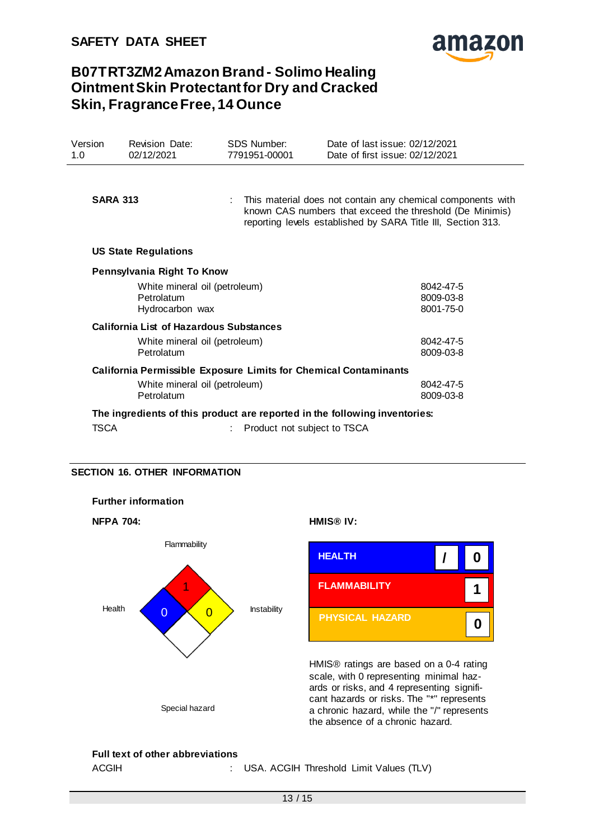

| Version<br>1.0                | <b>Revision Date:</b><br>02/12/2021            |  | <b>SDS Number:</b><br>7791951-00001                                                                                                                                                       | Date of last issue: 02/12/2021<br>Date of first issue: 02/12/2021          |  |
|-------------------------------|------------------------------------------------|--|-------------------------------------------------------------------------------------------------------------------------------------------------------------------------------------------|----------------------------------------------------------------------------|--|
|                               |                                                |  |                                                                                                                                                                                           |                                                                            |  |
| <b>SARA 313</b>               |                                                |  | : This material does not contain any chemical components with<br>known CAS numbers that exceed the threshold (De Minimis)<br>reporting levels established by SARA Title III, Section 313. |                                                                            |  |
|                               | <b>US State Regulations</b>                    |  |                                                                                                                                                                                           |                                                                            |  |
|                               | Pennsylvania Right To Know                     |  |                                                                                                                                                                                           |                                                                            |  |
| White mineral oil (petroleum) |                                                |  |                                                                                                                                                                                           | 8042-47-5                                                                  |  |
|                               | Petrolatum<br>Hydrocarbon wax                  |  |                                                                                                                                                                                           | 8009-03-8<br>8001-75-0                                                     |  |
|                               | <b>California List of Hazardous Substances</b> |  |                                                                                                                                                                                           |                                                                            |  |
|                               | White mineral oil (petroleum)                  |  |                                                                                                                                                                                           | 8042-47-5                                                                  |  |
|                               | Petrolatum                                     |  |                                                                                                                                                                                           | 8009-03-8                                                                  |  |
|                               |                                                |  |                                                                                                                                                                                           | <b>California Permissible Exposure Limits for Chemical Contaminants</b>    |  |
|                               | White mineral oil (petroleum)                  |  |                                                                                                                                                                                           | 8042-47-5                                                                  |  |
|                               | Petrolatum                                     |  |                                                                                                                                                                                           | 8009-03-8                                                                  |  |
|                               |                                                |  |                                                                                                                                                                                           | The ingredients of this product are reported in the following inventories: |  |
| TSCA                          |                                                |  | Product not subject to TSCA                                                                                                                                                               |                                                                            |  |

### **SECTION 16. OTHER INFORMATION**



### **Full text of other abbreviations**

ACGIH : USA. ACGIH Threshold Limit Values (TLV)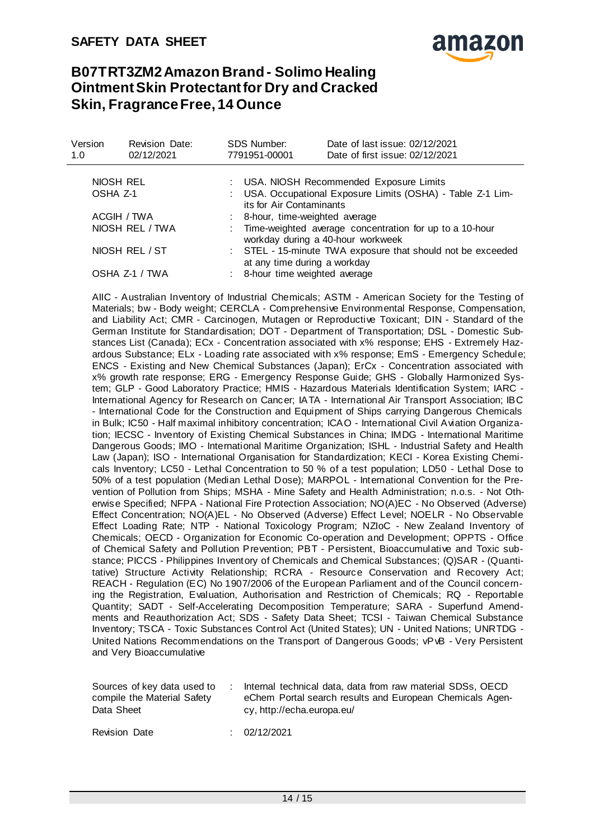

| Version<br>1.0  | <b>Revision Date:</b><br>02/12/2021 | <b>SDS Number:</b><br>7791951-00001 | Date of last issue: 02/12/2021<br>Date of first issue: 02/12/2021                              |  |  |  |
|-----------------|-------------------------------------|-------------------------------------|------------------------------------------------------------------------------------------------|--|--|--|
| NIOSH REL       |                                     |                                     | : USA. NIOSH Recommended Exposure Limits                                                       |  |  |  |
| OSHA Z-1        |                                     |                                     | USA. Occupational Exposure Limits (OSHA) - Table Z-1 Lim-<br>its for Air Contaminants          |  |  |  |
| ACGIH / TWA     |                                     |                                     | : 8-hour, time-weighted average                                                                |  |  |  |
| NIOSH REL / TWA |                                     |                                     | : Time-weighted average concentration for up to a 10-hour<br>workday during a 40-hour workweek |  |  |  |
| NIOSH REL / ST  |                                     |                                     | : STEL - 15-minute TWA exposure that should not be exceeded<br>at any time during a workday    |  |  |  |
| OSHA Z-1 / TWA  |                                     |                                     | : 8-hour time weighted average                                                                 |  |  |  |

AIIC - Australian Inventory of Industrial Chemicals; ASTM - American Society for the Testing of Materials; bw - Body weight; CERCLA - Comprehensive Environmental Response, Compensation, and Liability Act; CMR - Carcinogen, Mutagen or Reproductive Toxicant; DIN - Standard of the German Institute for Standardisation; DOT - Department of Transportation; DSL - Domestic Substances List (Canada); ECx - Concentration associated with x% response; EHS - Extremely Hazardous Substance; ELx - Loading rate associated with x% response; EmS - Emergency Schedule; ENCS - Existing and New Chemical Substances (Japan); ErCx - Concentration associated with x% growth rate response; ERG - Emergency Response Guide; GHS - Globally Harmonized System; GLP - Good Laboratory Practice; HMIS - Hazardous Materials Identification System; IARC - International Agency for Research on Cancer; IATA - International Air Transport Association; IBC - International Code for the Construction and Equipment of Ships carrying Dangerous Chemicals in Bulk; IC50 - Half maximal inhibitory concentration; ICAO - International Civil Aviation Organization; IECSC - Inventory of Existing Chemical Substances in China; IMDG - International Maritime Dangerous Goods; IMO - International Maritime Organization; ISHL - Industrial Safety and Health Law (Japan); ISO - International Organisation for Standardization; KECI - Korea Existing Chemicals Inventory; LC50 - Lethal Concentration to 50 % of a test population; LD50 - Lethal Dose to 50% of a test population (Median Lethal Dose); MARPOL - International Convention for the Prevention of Pollution from Ships; MSHA - Mine Safety and Health Administration; n.o.s. - Not Otherwise Specified; NFPA - National Fire Protection Association; NO(A)EC - No Observed (Adverse) Effect Concentration; NO(A)EL - No Observed (Adverse) Effect Level; NOELR - No Observable Effect Loading Rate; NTP - National Toxicology Program; NZIoC - New Zealand Inventory of Chemicals; OECD - Organization for Economic Co-operation and Development; OPPTS - Office of Chemical Safety and Pollution Prevention; PBT - Persistent, Bioaccumulative and Toxic substance; PICCS - Philippines Inventory of Chemicals and Chemical Substances; (Q)SAR - (Quantitative) Structure Activity Relationship; RCRA - Resource Conservation and Recovery Act; REACH - Regulation (EC) No 1907/2006 of the European Parliament and of the Council concerning the Registration, Evaluation, Authorisation and Restriction of Chemicals; RQ - Reportable Quantity; SADT - Self-Accelerating Decomposition Temperature; SARA - Superfund Amendments and Reauthorization Act; SDS - Safety Data Sheet; TCSI - Taiwan Chemical Substance Inventory; TSCA - Toxic Substances Control Act (United States); UN - United Nations; UNRTDG - United Nations Recommendations on the Transport of Dangerous Goods; vPvB - Very Persistent and Very Bioaccumulative

| Sources of key data used to | Internal technical data, data from raw material SDSs, OECD |
|-----------------------------|------------------------------------------------------------|
| compile the Material Safety | eChem Portal search results and European Chemicals Agen-   |
| Data Sheet                  | cy, http://echa.europa.eu/                                 |

Revision Date : 02/12/2021